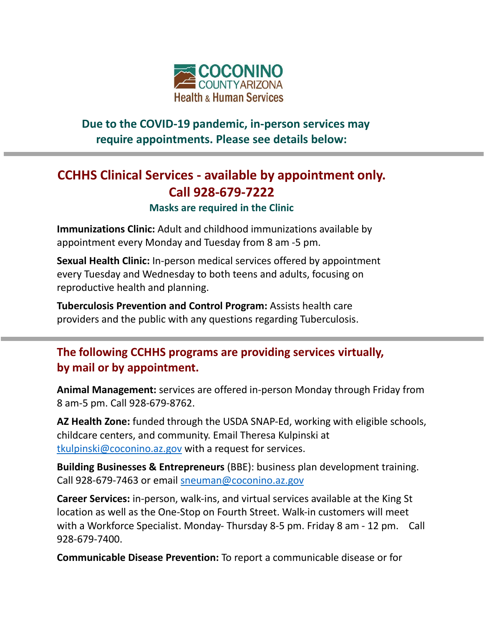

## **Due to the COVID-19 pandemic, in-person services may require appointments. Please see details below:**

## **CCHHS Clinical Services - available by appointment only. Call 928-679-7222**

**Masks are required in the Clinic**

**Immunizations Clinic:** Adult and childhood immunizations available by appointment every Monday and Tuesday from 8 am -5 pm.

**Sexual Health Clinic:** In-person medical services offered by appointment every Tuesday and Wednesday to both teens and adults, focusing on reproductive health and planning.

**Tuberculosis Prevention and Control Program:** Assists health care providers and the public with any questions regarding Tuberculosis.

## **The following CCHHS programs are providing services virtually, by mail or by appointment.**

**Animal Management:** services are offered in-person Monday through Friday from 8 am-5 pm. Call 928-679-8762.

**AZ Health Zone:** funded through the USDA SNAP-Ed, working with eligible schools, childcare centers, and community. Email Theresa Kulpinski at [tkulpinski@coconino.az.gov](mailto:tkulpinski@coconino.az.gov) with a request for services.

**Building Businesses & Entrepreneurs** (BBE): business plan development training. Call 928-679-7463 or email [sneuman@coconino.az.gov](mailto:sneuman@coconino.az.gov)

**Career Services:** in-person, walk-ins, and virtual services available at the King St location as well as the One-Stop on Fourth Street. Walk-in customers will meet with a Workforce Specialist. Monday- Thursday 8-5 pm. Friday 8 am - 12 pm. Call 928-679-7400.

**Communicable Disease Prevention:** To report a communicable disease or for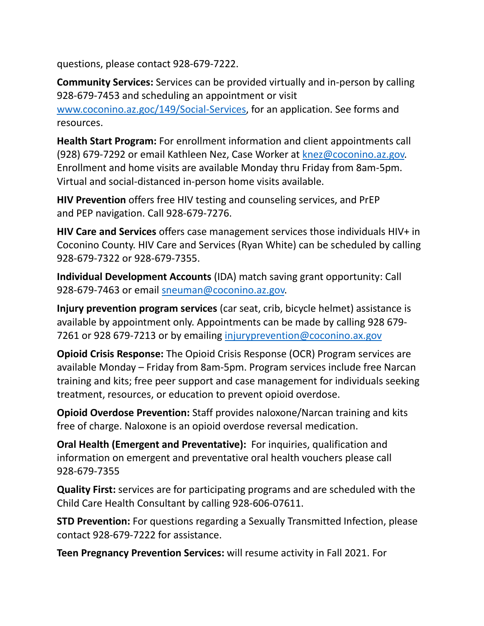questions, please contact 928-679-7222.

**Community Services:** Services can be provided virtually and in-person by calling 928-679-7453 and scheduling an appointment or visit [www.coconino.az.goc/149/Social-Services,](http://www.coconino.az.goc/149/Social-Services) for an application. See forms and resources.

**Health Start Program:** For enrollment information and client appointments call (928) 679-7292 or email Kathleen Nez, Case Worker at [knez@coconino.az.gov.](mailto:knez@coconino.az.gov) Enrollment and home visits are available Monday thru Friday from 8am-5pm. Virtual and social-distanced in-person home visits available.

**HIV Prevention** offers free HIV testing and counseling services, and PrEP and PEP navigation. Call 928-679-7276.

**HIV Care and Services** offers case management services those individuals HIV+ in Coconino County. HIV Care and Services (Ryan White) can be scheduled by calling 928-679-7322 or 928-679-7355.

**Individual Development Accounts** (IDA) match saving grant opportunity: Call 928-679-7463 or email [sneuman@coconino.az.gov.](mailto:sneuman@coconino.az.gov)

**Injury prevention program services** (car seat, crib, bicycle helmet) assistance is available by appointment only. Appointments can be made by calling 928 679- 7261 or 928 679-7213 or by emailing [injuryprevention@coconino.ax.gov](mailto:injuryprevention@coconino.ax.gov)

**Opioid Crisis Response:** The Opioid Crisis Response (OCR) Program services are available Monday – Friday from 8am-5pm. Program services include free Narcan training and kits; free peer support and case management for individuals seeking treatment, resources, or education to prevent opioid overdose.

**Opioid Overdose Prevention:** Staff provides naloxone/Narcan training and kits free of charge. Naloxone is an opioid overdose reversal medication.

**Oral Health (Emergent and Preventative):** For inquiries, qualification and information on emergent and preventative oral health vouchers please call 928-679-7355

**Quality First:** services are for participating programs and are scheduled with the Child Care Health Consultant by calling 928-606-07611.

**STD Prevention:** For questions regarding a Sexually Transmitted Infection, please contact 928-679-7222 for assistance.

**Teen Pregnancy Prevention Services:** will resume activity in Fall 2021. For